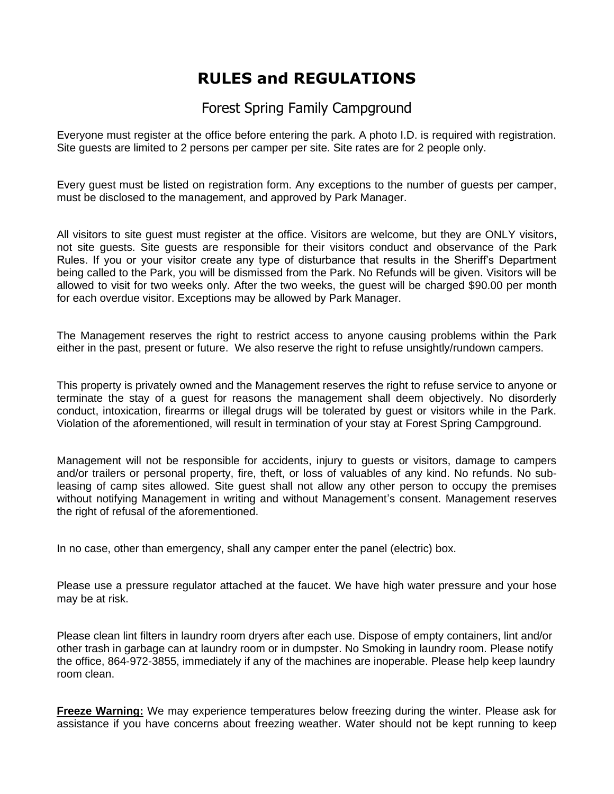## **RULES and REGULATIONS**

## Forest Spring Family Campground

Everyone must register at the office before entering the park. A photo I.D. is required with registration. Site guests are limited to 2 persons per camper per site. Site rates are for 2 people only.

Every guest must be listed on registration form. Any exceptions to the number of guests per camper, must be disclosed to the management, and approved by Park Manager.

All visitors to site guest must register at the office. Visitors are welcome, but they are ONLY visitors, not site guests. Site guests are responsible for their visitors conduct and observance of the Park Rules. If you or your visitor create any type of disturbance that results in the Sheriff's Department being called to the Park, you will be dismissed from the Park. No Refunds will be given. Visitors will be allowed to visit for two weeks only. After the two weeks, the guest will be charged \$90.00 per month for each overdue visitor. Exceptions may be allowed by Park Manager.

The Management reserves the right to restrict access to anyone causing problems within the Park either in the past, present or future. We also reserve the right to refuse unsightly/rundown campers.

This property is privately owned and the Management reserves the right to refuse service to anyone or terminate the stay of a guest for reasons the management shall deem objectively. No disorderly conduct, intoxication, firearms or illegal drugs will be tolerated by guest or visitors while in the Park. Violation of the aforementioned, will result in termination of your stay at Forest Spring Campground.

Management will not be responsible for accidents, injury to guests or visitors, damage to campers and/or trailers or personal property, fire, theft, or loss of valuables of any kind. No refunds. No subleasing of camp sites allowed. Site guest shall not allow any other person to occupy the premises without notifying Management in writing and without Management's consent. Management reserves the right of refusal of the aforementioned.

In no case, other than emergency, shall any camper enter the panel (electric) box.

Please use a pressure regulator attached at the faucet. We have high water pressure and your hose may be at risk.

Please clean lint filters in laundry room dryers after each use. Dispose of empty containers, lint and/or other trash in garbage can at laundry room or in dumpster. No Smoking in laundry room. Please notify the office, 864-972-3855, immediately if any of the machines are inoperable. Please help keep laundry room clean.

**Freeze Warning:** We may experience temperatures below freezing during the winter. Please ask for assistance if you have concerns about freezing weather. Water should not be kept running to keep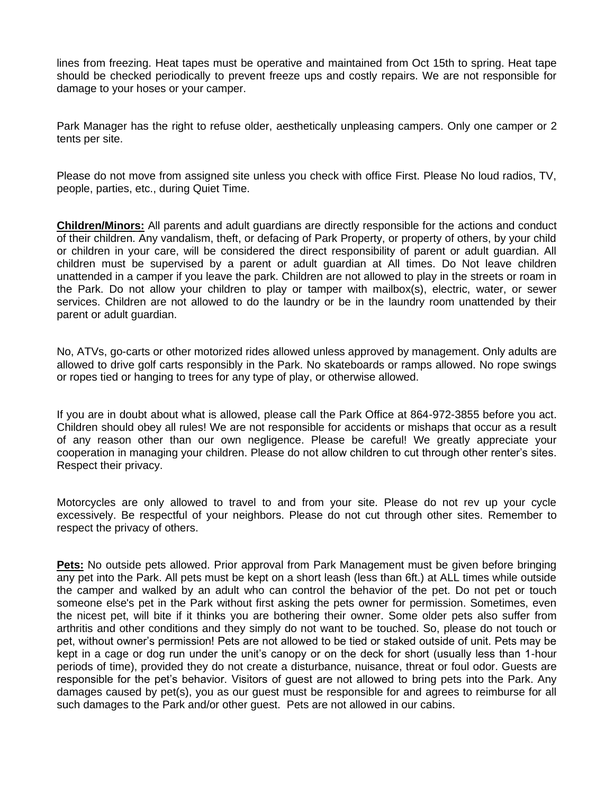lines from freezing. Heat tapes must be operative and maintained from Oct 15th to spring. Heat tape should be checked periodically to prevent freeze ups and costly repairs. We are not responsible for damage to your hoses or your camper.

Park Manager has the right to refuse older, aesthetically unpleasing campers. Only one camper or 2 tents per site.

Please do not move from assigned site unless you check with office First. Please No loud radios, TV, people, parties, etc., during Quiet Time.

**Children/Minors:** All parents and adult guardians are directly responsible for the actions and conduct of their children. Any vandalism, theft, or defacing of Park Property, or property of others, by your child or children in your care, will be considered the direct responsibility of parent or adult guardian. All children must be supervised by a parent or adult guardian at All times. Do Not leave children unattended in a camper if you leave the park. Children are not allowed to play in the streets or roam in the Park. Do not allow your children to play or tamper with mailbox(s), electric, water, or sewer services. Children are not allowed to do the laundry or be in the laundry room unattended by their parent or adult guardian.

No, ATVs, go-carts or other motorized rides allowed unless approved by management. Only adults are allowed to drive golf carts responsibly in the Park. No skateboards or ramps allowed. No rope swings or ropes tied or hanging to trees for any type of play, or otherwise allowed.

If you are in doubt about what is allowed, please call the Park Office at 864-972-3855 before you act. Children should obey all rules! We are not responsible for accidents or mishaps that occur as a result of any reason other than our own negligence. Please be careful! We greatly appreciate your cooperation in managing your children. Please do not allow children to cut through other renter's sites. Respect their privacy.

Motorcycles are only allowed to travel to and from your site. Please do not rev up your cycle excessively. Be respectful of your neighbors. Please do not cut through other sites. Remember to respect the privacy of others.

**Pets:** No outside pets allowed. Prior approval from Park Management must be given before bringing any pet into the Park. All pets must be kept on a short leash (less than 6ft.) at ALL times while outside the camper and walked by an adult who can control the behavior of the pet. Do not pet or touch someone else's pet in the Park without first asking the pets owner for permission. Sometimes, even the nicest pet, will bite if it thinks you are bothering their owner. Some older pets also suffer from arthritis and other conditions and they simply do not want to be touched. So, please do not touch or pet, without owner's permission! Pets are not allowed to be tied or staked outside of unit. Pets may be kept in a cage or dog run under the unit's canopy or on the deck for short (usually less than 1-hour periods of time), provided they do not create a disturbance, nuisance, threat or foul odor. Guests are responsible for the pet's behavior. Visitors of guest are not allowed to bring pets into the Park. Any damages caused by pet(s), you as our guest must be responsible for and agrees to reimburse for all such damages to the Park and/or other guest. Pets are not allowed in our cabins.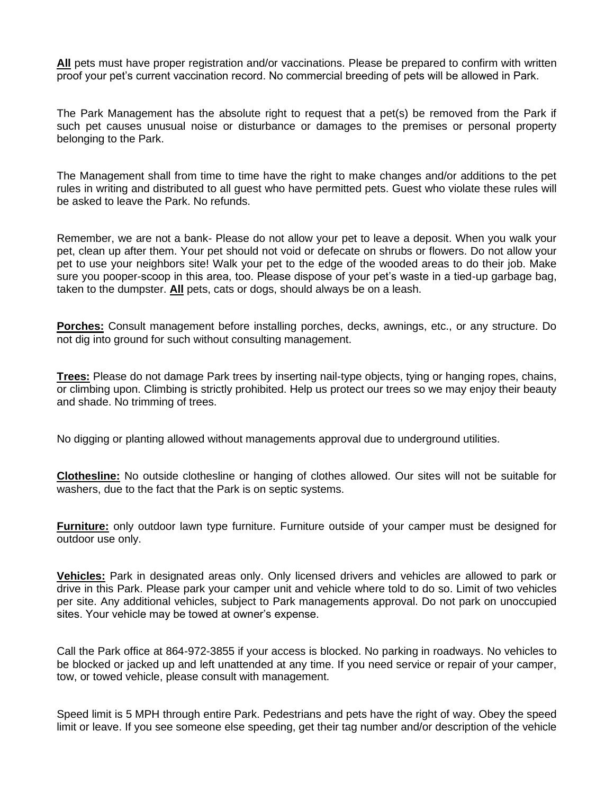**All** pets must have proper registration and/or vaccinations. Please be prepared to confirm with written proof your pet's current vaccination record. No commercial breeding of pets will be allowed in Park.

The Park Management has the absolute right to request that a pet(s) be removed from the Park if such pet causes unusual noise or disturbance or damages to the premises or personal property belonging to the Park.

The Management shall from time to time have the right to make changes and/or additions to the pet rules in writing and distributed to all guest who have permitted pets. Guest who violate these rules will be asked to leave the Park. No refunds.

Remember, we are not a bank- Please do not allow your pet to leave a deposit. When you walk your pet, clean up after them. Your pet should not void or defecate on shrubs or flowers. Do not allow your pet to use your neighbors site! Walk your pet to the edge of the wooded areas to do their job. Make sure you pooper-scoop in this area, too. Please dispose of your pet's waste in a tied-up garbage bag, taken to the dumpster. **All** pets, cats or dogs, should always be on a leash.

**Porches:** Consult management before installing porches, decks, awnings, etc., or any structure. Do not dig into ground for such without consulting management.

**Trees:** Please do not damage Park trees by inserting nail-type objects, tying or hanging ropes, chains, or climbing upon. Climbing is strictly prohibited. Help us protect our trees so we may enjoy their beauty and shade. No trimming of trees.

No digging or planting allowed without managements approval due to underground utilities.

**Clothesline:** No outside clothesline or hanging of clothes allowed. Our sites will not be suitable for washers, due to the fact that the Park is on septic systems.

**Furniture:** only outdoor lawn type furniture. Furniture outside of your camper must be designed for outdoor use only.

**Vehicles:** Park in designated areas only. Only licensed drivers and vehicles are allowed to park or drive in this Park. Please park your camper unit and vehicle where told to do so. Limit of two vehicles per site. Any additional vehicles, subject to Park managements approval. Do not park on unoccupied sites. Your vehicle may be towed at owner's expense.

Call the Park office at 864-972-3855 if your access is blocked. No parking in roadways. No vehicles to be blocked or jacked up and left unattended at any time. If you need service or repair of your camper, tow, or towed vehicle, please consult with management.

Speed limit is 5 MPH through entire Park. Pedestrians and pets have the right of way. Obey the speed limit or leave. If you see someone else speeding, get their tag number and/or description of the vehicle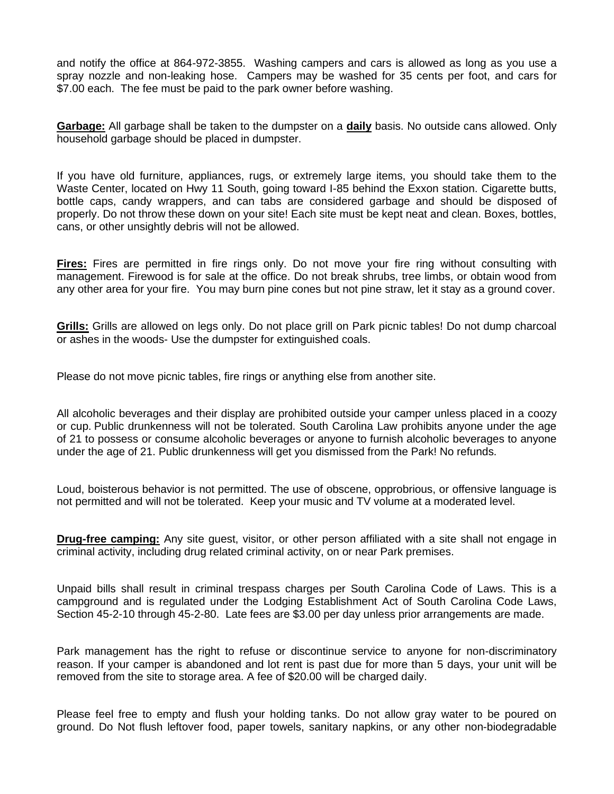and notify the office at 864-972-3855. Washing campers and cars is allowed as long as you use a spray nozzle and non-leaking hose. Campers may be washed for 35 cents per foot, and cars for \$7.00 each. The fee must be paid to the park owner before washing.

**Garbage:** All garbage shall be taken to the dumpster on a **daily** basis. No outside cans allowed. Only household garbage should be placed in dumpster.

If you have old furniture, appliances, rugs, or extremely large items, you should take them to the Waste Center, located on Hwy 11 South, going toward I-85 behind the Exxon station. Cigarette butts, bottle caps, candy wrappers, and can tabs are considered garbage and should be disposed of properly. Do not throw these down on your site! Each site must be kept neat and clean. Boxes, bottles, cans, or other unsightly debris will not be allowed.

**Fires:** Fires are permitted in fire rings only. Do not move your fire ring without consulting with management. Firewood is for sale at the office. Do not break shrubs, tree limbs, or obtain wood from any other area for your fire. You may burn pine cones but not pine straw, let it stay as a ground cover.

**Grills:** Grills are allowed on legs only. Do not place grill on Park picnic tables! Do not dump charcoal or ashes in the woods- Use the dumpster for extinguished coals.

Please do not move picnic tables, fire rings or anything else from another site.

All alcoholic beverages and their display are prohibited outside your camper unless placed in a coozy or cup. Public drunkenness will not be tolerated. South Carolina Law prohibits anyone under the age of 21 to possess or consume alcoholic beverages or anyone to furnish alcoholic beverages to anyone under the age of 21. Public drunkenness will get you dismissed from the Park! No refunds.

Loud, boisterous behavior is not permitted. The use of obscene, opprobrious, or offensive language is not permitted and will not be tolerated. Keep your music and TV volume at a moderated level.

**Drug-free camping:** Any site guest, visitor, or other person affiliated with a site shall not engage in criminal activity, including drug related criminal activity, on or near Park premises.

Unpaid bills shall result in criminal trespass charges per South Carolina Code of Laws. This is a campground and is regulated under the Lodging Establishment Act of South Carolina Code Laws, Section 45-2-10 through 45-2-80. Late fees are \$3.00 per day unless prior arrangements are made.

Park management has the right to refuse or discontinue service to anyone for non-discriminatory reason. If your camper is abandoned and lot rent is past due for more than 5 days, your unit will be removed from the site to storage area. A fee of \$20.00 will be charged daily.

Please feel free to empty and flush your holding tanks. Do not allow gray water to be poured on ground. Do Not flush leftover food, paper towels, sanitary napkins, or any other non-biodegradable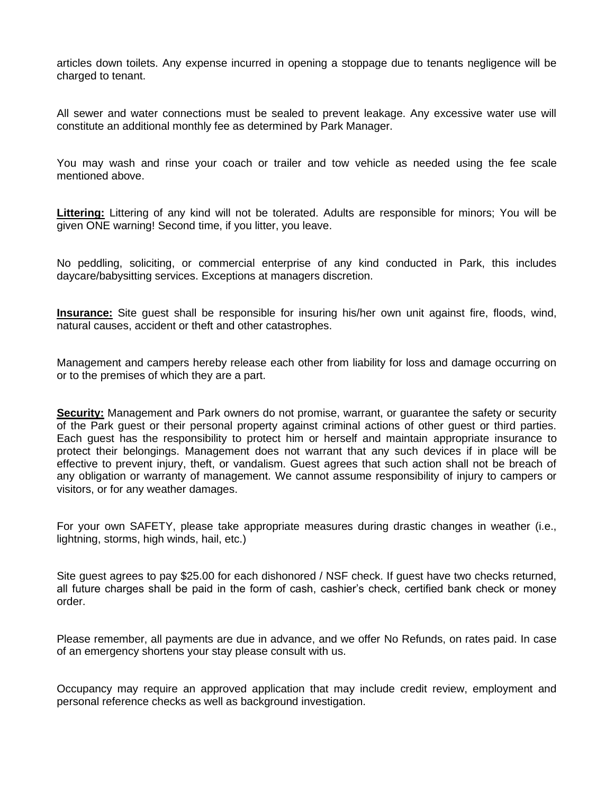articles down toilets. Any expense incurred in opening a stoppage due to tenants negligence will be charged to tenant.

All sewer and water connections must be sealed to prevent leakage. Any excessive water use will constitute an additional monthly fee as determined by Park Manager.

You may wash and rinse your coach or trailer and tow vehicle as needed using the fee scale mentioned above.

**Littering:** Littering of any kind will not be tolerated. Adults are responsible for minors; You will be given ONE warning! Second time, if you litter, you leave.

No peddling, soliciting, or commercial enterprise of any kind conducted in Park, this includes daycare/babysitting services. Exceptions at managers discretion.

**Insurance:** Site guest shall be responsible for insuring his/her own unit against fire, floods, wind, natural causes, accident or theft and other catastrophes.

Management and campers hereby release each other from liability for loss and damage occurring on or to the premises of which they are a part.

**Security:** Management and Park owners do not promise, warrant, or guarantee the safety or security of the Park guest or their personal property against criminal actions of other guest or third parties. Each guest has the responsibility to protect him or herself and maintain appropriate insurance to protect their belongings. Management does not warrant that any such devices if in place will be effective to prevent injury, theft, or vandalism. Guest agrees that such action shall not be breach of any obligation or warranty of management. We cannot assume responsibility of injury to campers or visitors, or for any weather damages.

For your own SAFETY, please take appropriate measures during drastic changes in weather (i.e., lightning, storms, high winds, hail, etc.)

Site guest agrees to pay \$25.00 for each dishonored / NSF check. If guest have two checks returned, all future charges shall be paid in the form of cash, cashier's check, certified bank check or money order.

Please remember, all payments are due in advance, and we offer No Refunds, on rates paid. In case of an emergency shortens your stay please consult with us.

Occupancy may require an approved application that may include credit review, employment and personal reference checks as well as background investigation.